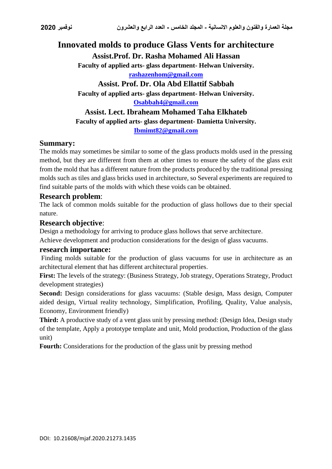# **Innovated molds to produce Glass Vents for architecture**

**Assist.Prof. Dr. Rasha Mohamed Ali Hassan**

**Faculty of applied arts- glass department- Helwan University.**

**rashazenhom@gmail.com**

**Assist. Prof. Dr. Ola Abd Ellattif Sabbah Faculty of applied arts- glass department- Helwan University. [Osabbah4@gmail.com](mailto:Osabbah4@gmail.com)**

**Assist. Lect. Ibraheam Mohamed Taha Elkhateb Faculty of applied arts- glass department- Damietta University. Ibmimt82@gmail.com**

## **Summary:**

The molds may sometimes be similar to some of the glass products molds used in the pressing method, but they are different from them at other times to ensure the safety of the glass exit from the mold that has a different nature from the products produced by the traditional pressing molds such as tiles and glass bricks used in architecture, so Several experiments are required to find suitable parts of the molds with which these voids can be obtained.

### **Research problem**:

The lack of common molds suitable for the production of glass hollows due to their special nature.

#### **Research objective**:

Design a methodology for arriving to produce glass hollows that serve architecture.

Achieve development and production considerations for the design of glass vacuums.

#### **research importance:**

Finding molds suitable for the production of glass vacuums for use in architecture as an architectural element that has different architectural properties.

**First:** The levels of the strategy: (Business Strategy, Job strategy, Operations Strategy, Product development strategies)

**Second:** Design considerations for glass vacuums: (Stable design, Mass design, Computer aided design, Virtual reality technology, Simplification, Profiling, Quality, Value analysis, Economy, Environment friendly)

**Third:** A productive study of a vent glass unit by pressing method: (Design Idea, Design study of the template, Apply a prototype template and unit, Mold production, Production of the glass unit)

**Fourth:** Considerations for the production of the glass unit by pressing method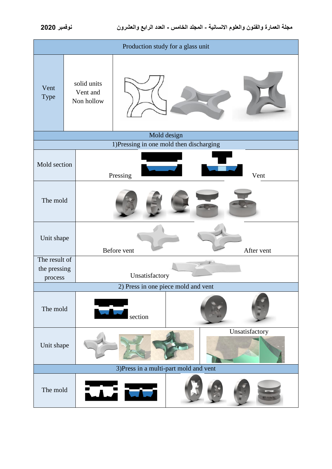| Production study for a glass unit                      |                                       |                           |  |                |  |
|--------------------------------------------------------|---------------------------------------|---------------------------|--|----------------|--|
| Vent<br>Type                                           | solid units<br>Vent and<br>Non hollow |                           |  |                |  |
| Mold design<br>1)Pressing in one mold then discharging |                                       |                           |  |                |  |
| Mold section                                           |                                       | Pressing<br>Vent          |  |                |  |
| The mold                                               |                                       |                           |  |                |  |
| Unit shape                                             |                                       | After vent<br>Before vent |  |                |  |
| The result of<br>the pressing<br>process               |                                       | Unsatisfactory            |  |                |  |
| 2) Press in one piece mold and vent                    |                                       |                           |  |                |  |
| The mold                                               |                                       | section                   |  |                |  |
| Unit shape                                             |                                       |                           |  | Unsatisfactory |  |
| 3) Press in a multi-part mold and vent                 |                                       |                           |  |                |  |
| The mold                                               |                                       | $\mathbf{L}$              |  |                |  |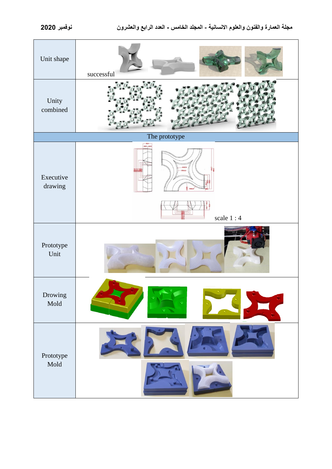

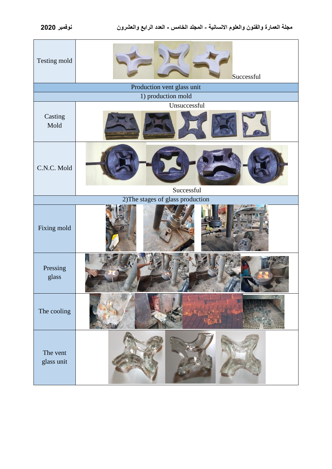| Testing mold                      | Successful   |  |  |  |  |  |
|-----------------------------------|--------------|--|--|--|--|--|
| Production vent glass unit        |              |  |  |  |  |  |
| 1) production mold                |              |  |  |  |  |  |
| Casting<br>Mold                   | Unsuccessful |  |  |  |  |  |
| C.N.C. Mold                       | Successful   |  |  |  |  |  |
| 2) The stages of glass production |              |  |  |  |  |  |
| Fixing mold                       |              |  |  |  |  |  |
| Pressing<br>glass                 |              |  |  |  |  |  |
| The cooling                       |              |  |  |  |  |  |
| The vent<br>glass unit            |              |  |  |  |  |  |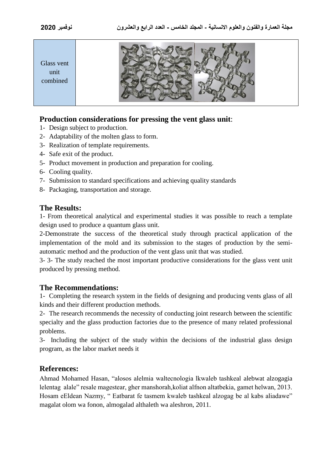

## **Production considerations for pressing the vent glass unit**:

- 1- Design subject to production.
- 2- Adaptability of the molten glass to form.
- 3- Realization of template requirements.
- 4- Safe exit of the product.
- 5- Product movement in production and preparation for cooling.
- 6- Cooling quality.
- 7- Submission to standard specifications and achieving quality standards
- 8- Packaging, transportation and storage.

#### **The Results:**

1- From theoretical analytical and experimental studies it was possible to reach a template design used to produce a quantum glass unit.

2-Demonstrate the success of the theoretical study through practical application of the implementation of the mold and its submission to the stages of production by the semiautomatic method and the production of the vent glass unit that was studied.

3- 3- The study reached the most important productive considerations for the glass vent unit produced by pressing method.

#### **The Recommendations:**

1- Completing the research system in the fields of designing and producing vents glass of all kinds and their different production methods.

2- The research recommends the necessity of conducting joint research between the scientific specialty and the glass production factories due to the presence of many related professional problems.

3- Including the subject of the study within the decisions of the industrial glass design program, as the labor market needs it

## **References:**

Ahmad Mohamed Hasan, "alosos alelmia waltecnologia lkwaleb tashkeal alebwat alzogagia lelentag alale" resale magestear, gher manshorah,koliat alfnon altatbekia, gamet helwan, 2013. Hosam eEldean Nazmy, " Eatbarat fe tasmem kwaleb tashkeal alzogag be al kabs aliadawe" magalat olom wa fonon, almogalad althaleth wa aleshron, 2011.